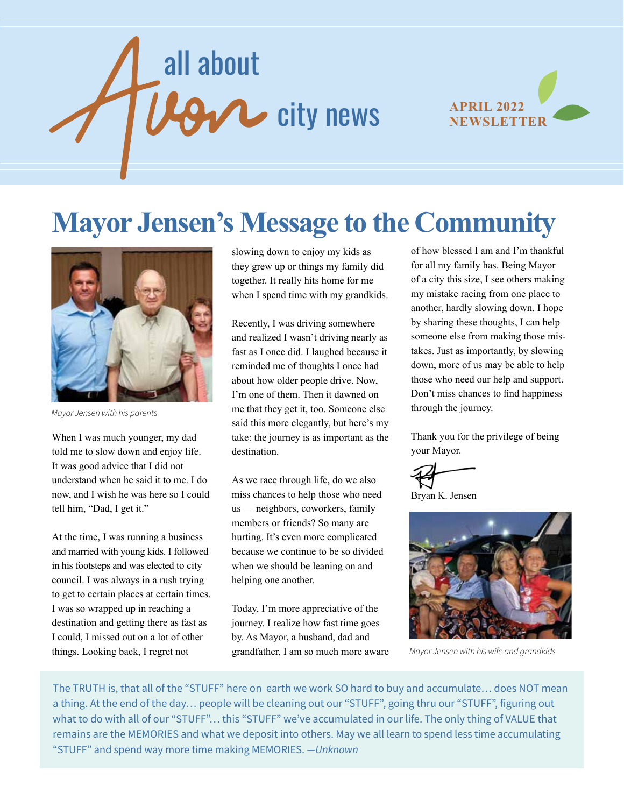# all about  $9\gamma$  city news



# **Mayor Jensen's Message to the Community**



*Mayor Jensen with his parents*

When I was much younger, my dad told me to slow down and enjoy life. It was good advice that I did not understand when he said it to me. I do now, and I wish he was here so I could tell him, "Dad, I get it."

At the time, I was running a business and married with young kids. I followed in his footsteps and was elected to city council. I was always in a rush trying to get to certain places at certain times. I was so wrapped up in reaching a destination and getting there as fast as I could, I missed out on a lot of other things. Looking back, I regret not

slowing down to enjoy my kids as they grew up or things my family did together. It really hits home for me when I spend time with my grandkids.

Recently, I was driving somewhere and realized I wasn't driving nearly as fast as I once did. I laughed because it reminded me of thoughts I once had about how older people drive. Now, I'm one of them. Then it dawned on me that they get it, too. Someone else said this more elegantly, but here's my take: the journey is as important as the destination.

As we race through life, do we also miss chances to help those who need us — neighbors, coworkers, family members or friends? So many are hurting. It's even more complicated because we continue to be so divided when we should be leaning on and helping one another.

Today, I'm more appreciative of the journey. I realize how fast time goes by. As Mayor, a husband, dad and grandfather, I am so much more aware of how blessed I am and I'm thankful for all my family has. Being Mayor of a city this size, I see others making my mistake racing from one place to another, hardly slowing down. I hope by sharing these thoughts, I can help someone else from making those mistakes. Just as importantly, by slowing down, more of us may be able to help those who need our help and support. Don't miss chances to find happiness through the journey.

Thank you for the privilege of being your Mayor.

Bryan K. Jensen



*Mayor Jensen with his wife and grandkids*

The TRUTH is, that all of the "STUFF" here on earth we work SO hard to buy and accumulate… does NOT mean a thing. At the end of the day… people will be cleaning out our "STUFF", going thru our "STUFF", figuring out what to do with all of our "STUFF"… this "STUFF" we've accumulated in our life. The only thing of VALUE that remains are the MEMORIES and what we deposit into others. May we all learn to spend less time accumulating "STUFF" and spend way more time making MEMORIES. *—Unknown*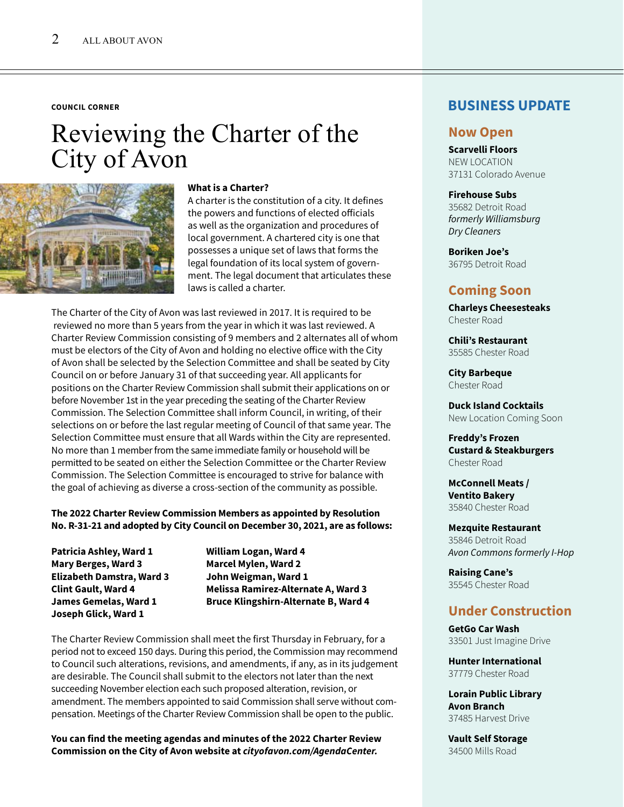#### **COUNCIL CORNER**

## Reviewing the Charter of the City of Avon



#### **What is a Charter?**

A charter is the constitution of a city. It defines the powers and functions of elected officials as well as the organization and procedures of local government. A chartered city is one that possesses a unique set of laws that forms the legal foundation of its local system of government. The legal document that articulates these laws is called a charter.

The Charter of the City of Avon was last reviewed in 2017. It is required to be reviewed no more than 5 years from the year in which it was last reviewed. A Charter Review Commission consisting of 9 members and 2 alternates all of whom must be electors of the City of Avon and holding no elective office with the City of Avon shall be selected by the Selection Committee and shall be seated by City Council on or before January 31 of that succeeding year. All applicants for positions on the Charter Review Commission shall submit their applications on or before November 1st in the year preceding the seating of the Charter Review Commission. The Selection Committee shall inform Council, in writing, of their selections on or before the last regular meeting of Council of that same year. The Selection Committee must ensure that all Wards within the City are represented. No more than 1 member from the same immediate family or household will be permitted to be seated on either the Selection Committee or the Charter Review Commission. The Selection Committee is encouraged to strive for balance with the goal of achieving as diverse a cross-section of the community as possible.

#### **The 2022 Charter Review Commission Members as appointed by Resolution No. R-31-21 and adopted by City Council on December 30, 2021, are as follows:**

**Patricia Ashley, Ward 1 William Logan, Ward 4 Mary Berges, Ward 3 Marcel Mylen, Ward 2 Elizabeth Damstra, Ward 3 John Weigman, Ward 1 Joseph Glick, Ward 1**

**Clint Gault, Ward 4 Melissa Ramirez-Alternate A, Ward 3 James Gemelas, Ward 1 Bruce Klingshirn-Alternate B, Ward 4**

The Charter Review Commission shall meet the first Thursday in February, for a period not to exceed 150 days. During this period, the Commission may recommend to Council such alterations, revisions, and amendments, if any, as in its judgement are desirable. The Council shall submit to the electors not later than the next succeeding November election each such proposed alteration, revision, or amendment. The members appointed to said Commission shall serve without compensation. Meetings of the Charter Review Commission shall be open to the public.

**You can find the meeting agendas and minutes of the 2022 Charter Review Commission on the City of Avon website at** *cityofavon.com/AgendaCenter.*

#### **BUSINESS UPDATE**

#### **Now Open**

**Scarvelli Floors**  NEW LOCATION 37131 Colorado Avenue

#### **Firehouse Subs**

35682 Detroit Road *formerly Williamsburg Dry Cleaners*

**Boriken Joe's** 36795 Detroit Road

#### **Coming Soon**

**Charleys Cheesesteaks** Chester Road

**Chili's Restaurant** 35585 Chester Road

**City Barbeque**  Chester Road

**Duck Island Cocktails** New Location Coming Soon

**Freddy's Frozen Custard & Steakburgers**  Chester Road

**McConnell Meats / Ventito Bakery**  35840 Chester Road

**Mezquite Restaurant** 35846 Detroit Road *Avon Commons formerly I-Hop*

**Raising Cane's** 35545 Chester Road

#### **Under Construction**

**GetGo Car Wash** 33501 Just Imagine Drive

**Hunter International**  37779 Chester Road

**Lorain Public Library Avon Branch**  37485 Harvest Drive

**Vault Self Storage** 34500 Mills Road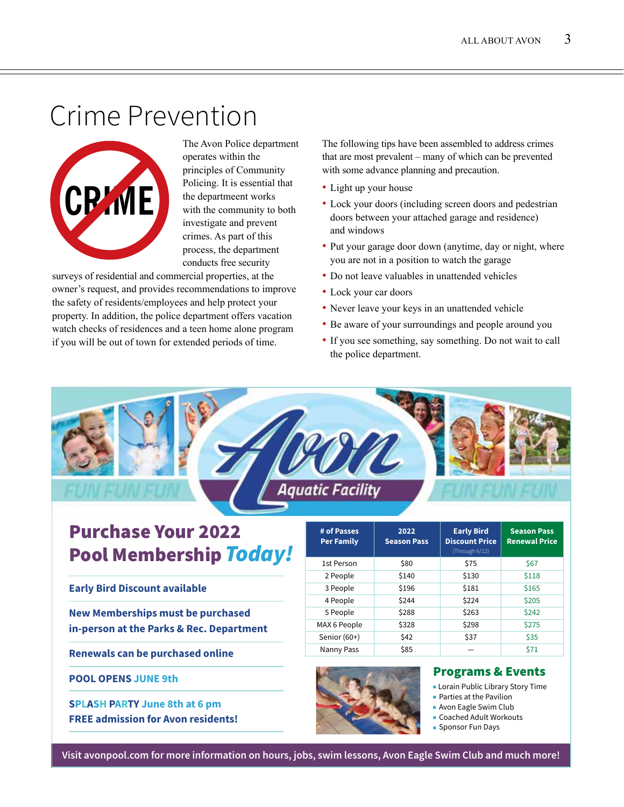# Crime Prevention



The Avon Police department operates within the principles of Community Policing. It is essential that the departmeent works with the community to both investigate and prevent crimes. As part of this process, the department conducts free security

surveys of residential and commercial properties, at the owner's request, and provides recommendations to improve the safety of residents/employees and help protect your property. In addition, the police department offers vacation watch checks of residences and a teen home alone program if you will be out of town for extended periods of time.

The following tips have been assembled to address crimes that are most prevalent – many of which can be prevented with some advance planning and precaution.

- Light up your house
- Lock your doors (including screen doors and pedestrian doors between your attached garage and residence) and windows
- Put your garage door down (anytime, day or night, where you are not in a position to watch the garage
- Do not leave valuables in unattended vehicles
- Lock your car doors
- Never leave your keys in an unattended vehicle
- Be aware of your surroundings and people around you
- If you see something, say something. Do not wait to call the police department.

### **Aquatic Facility**

### Purchase Your 2022 Pool Membership *Today!*

**Early Bird Discount available**

**New Memberships must be purchased in-person at the Parks & Rec. Department**

**Renewals can be purchased online**

**POOL OPENS JUNE 9th**

**SPLASH PARTY June 8th at 6 pm FREE admission for Avon residents!**

| # of Passes<br><b>Per Family</b> | 2022<br><b>Season Pass</b> | <b>Early Bird</b><br><b>Discount Price</b><br>(Through 6/12) | <b>Season Pass</b><br><b>Renewal Price</b> |
|----------------------------------|----------------------------|--------------------------------------------------------------|--------------------------------------------|
| 1st Person                       | \$80                       | \$75                                                         | \$67                                       |
| 2 People                         | \$140                      | \$130                                                        | \$118                                      |
| 3 People                         | \$196                      | \$181                                                        | \$165                                      |
| 4 People                         | \$244                      | \$224                                                        | \$205                                      |
| 5 People                         | \$288                      | \$263                                                        | \$242                                      |
| MAX 6 People                     | \$328                      | \$298                                                        | \$275                                      |
| Senior (60+)                     | \$42                       | \$37                                                         | \$35                                       |
| Nanny Pass                       | \$85                       |                                                              | \$71                                       |



#### Programs & Events

- Lorain Public Library Story Time
- Parties at the Pavilion
- Avon Eagle Swim Club
- Coached Adult Workouts
- Sponsor Fun Days

**Visit avonpool.com for more information on hours, jobs, swim lessons, Avon Eagle Swim Club and much more!**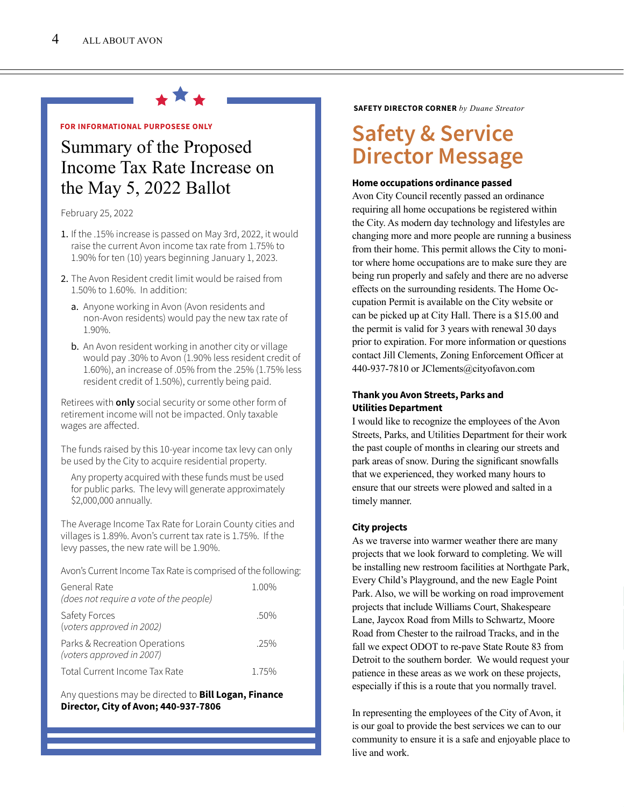

#### **FOR INFORMATIONAL PURPOSESE ONLY**

### Summary of the Proposed Income Tax Rate Increase on the May 5, 2022 Ballot **Home occupations ordinance passed**<br>Aven City Council recently passed an or

February 25, 2022

- 1. If the .15% increase is passed on May 3rd, 2022, it would raise the current Avon income tax rate from 1.75% to 1.90% for ten (10) years beginning January 1, 2023.
- 2. The Avon Resident credit limit would be raised from 1.50% to 1.60%. In addition:
	- a. Anyone working in Avon (Avon residents and non-Avon residents) would pay the new tax rate of 1.90%.
	- b. An Avon resident working in another city or village would pay .30% to Avon (1.90% less resident credit of 1.60%), an increase of .05% from the .25% (1.75% less resident credit of 1.50%), currently being paid.

Retirees with **only** social security or some other form of retirement income will not be impacted. Only taxable wages are affected.

The funds raised by this 10-year income tax levy can only be used by the City to acquire residential property.

 Any property acquired with these funds must be used for public parks. The levy will generate approximately \$2,000,000 annually.

The Average Income Tax Rate for Lorain County cities and villages is 1.89%. Avon's current tax rate is 1.75%. If the levy passes, the new rate will be 1.90%.

Avon's Current Income Tax Rate is comprised of the following:

| General Rate<br>(does not require a vote of the people)    | 1.00% |
|------------------------------------------------------------|-------|
| Safety Forces<br>(voters approved in 2002)                 | .50%  |
| Parks & Recreation Operations<br>(voters approved in 2007) | 25%   |
| Total Current Income Tax Rate                              | 1.75% |

Any questions may be directed to **Bill Logan, Finance Director, City of Avon; 440-937-7806**

**SAFETY DIRECTOR CORNER** *by Duane Streator*

### **Safety & Service Director Message**

Avon City Council recently passed an ordinance requiring all home occupations be registered within the City. As modern day technology and lifestyles are changing more and more people are running a business from their home. This permit allows the City to monitor where home occupations are to make sure they are being run properly and safely and there are no adverse effects on the surrounding residents. The Home Occupation Permit is available on the City website or can be picked up at City Hall. There is a \$15.00 and the permit is valid for 3 years with renewal 30 days prior to expiration. For more information or questions contact Jill Clements, Zoning Enforcement Officer at 440-937-7810 or JClements@cityofavon.com

#### **Thank you Avon Streets, Parks and Utilities Department**

I would like to recognize the employees of the Avon Streets, Parks, and Utilities Department for their work the past couple of months in clearing our streets and park areas of snow. During the significant snowfalls that we experienced, they worked many hours to ensure that our streets were plowed and salted in a timely manner.

#### **City projects**

As we traverse into warmer weather there are many projects that we look forward to completing. We will be installing new restroom facilities at Northgate Park, Every Child's Playground, and the new Eagle Point Park. Also, we will be working on road improvement projects that include Williams Court, Shakespeare Lane, Jaycox Road from Mills to Schwartz, Moore Road from Chester to the railroad Tracks, and in the fall we expect ODOT to re-pave State Route 83 from Detroit to the southern border. We would request your patience in these areas as we work on these projects, especially if this is a route that you normally travel.

In representing the employees of the City of Avon, it is our goal to provide the best services we can to our community to ensure it is a safe and enjoyable place to live and work.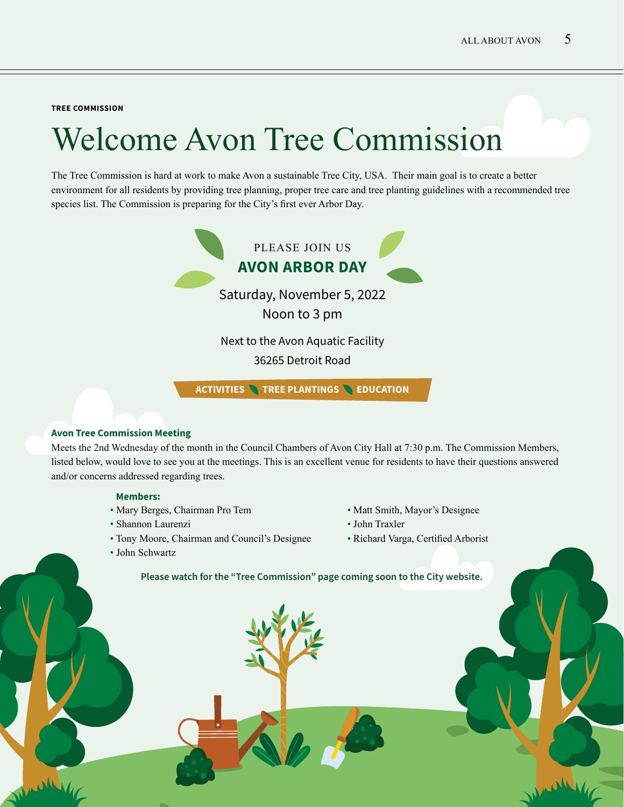**TREE COMMISSION**

# Welcome Avon Tree Commission

The Tree Commission is hard at work to make Avon a sustainable Tree City, USA. Their main goal is to create a better environment for all residents by providing tree planning, proper tree care and tree planting guidelines with a recommended tree species list. The Commission is preparing for the City's first ever Arbor Day.



#### **Avon Tree Commission Meeting**

Meets the 2nd Wednesday of the month in the Council Chambers of Avon City Hall at 7:30 p.m. The Commission Members, listed below, would love to see you at the meetings. This is an excellent venue for residents to have their questions answered and/or concerns addressed regarding trees.

#### **Members:**

- Mary Berges, Chairman Pro Tem
- Shannon Laurenzi
- Tony Moore, Chairman and Council's Designee
- John Schwartz
- Matt Smith, Mayor's Designee
- John Traxler
- Richard Varga, Certified Arborist

**Please watch for the "Tree Commission" page coming soon to the City website.**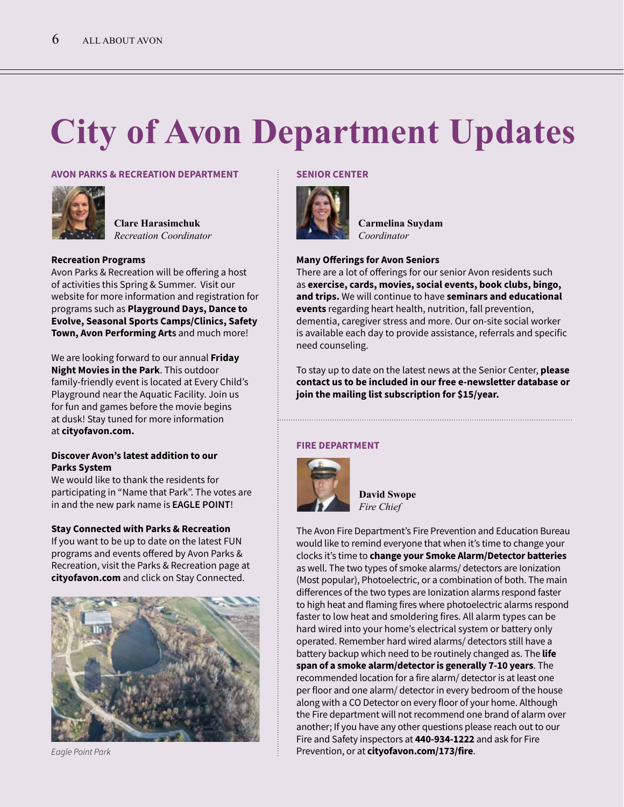# **City of Avon Department Updates**

#### **AVON PARKS & RECREATION DEPARTMENT**



**Clare Harasimchuk** *Recreation Coordinator*

#### **Recreation Programs**

Avon Parks & Recreation will be offering a host of activities this Spring & Summer. Visit our website for more information and registration for programs such as **Playground Days, Dance to Evolve, Seasonal Sports Camps/Clinics, Safety Town, Avon Performing Arts** and much more!

We are looking forward to our annual **Friday Night Movies in the Park**. This outdoor family-friendly event is located at Every Child's Playground near the Aquatic Facility. Join us for fun and games before the movie begins at dusk! Stay tuned for more information at **cityofavon.com.**

#### **Discover Avon's latest addition to our Parks System**

We would like to thank the residents for participating in "Name that Park". The votes are in and the new park name is **EAGLE POINT**!

#### **Stay Connected with Parks & Recreation**

If you want to be up to date on the latest FUN programs and events offered by Avon Parks & Recreation, visit the Parks & Recreation page at **cityofavon.com** and click on Stay Connected.



*Eagle Point Park*

#### **SENIOR CENTER**



**Carmelina Suydam** *Coordinator*

#### **Many Offerings for Avon Seniors**

There are a lot of offerings for our senior Avon residents such as **exercise, cards, movies, social events, book clubs, bingo, and trips.** We will continue to have **seminars and educational events** regarding heart health, nutrition, fall prevention, dementia, caregiver stress and more. Our on-site social worker is available each day to provide assistance, referrals and specific need counseling.

To stay up to date on the latest news at the Senior Center, **please contact us to be included in our free e-newsletter database or join the mailing list subscription for \$15/year.** 

#### **FIRE DEPARTMENT**



**David Swope** *Fire Chief*

The Avon Fire Department's Fire Prevention and Education Bureau would like to remind everyone that when it's time to change your clocks it's time to **change your Smoke Alarm/Detector batteries** as well. The two types of smoke alarms/ detectors are Ionization (Most popular), Photoelectric, or a combination of both. The main differences of the two types are Ionization alarms respond faster to high heat and flaming fires where photoelectric alarms respond faster to low heat and smoldering fires. All alarm types can be hard wired into your home's electrical system or battery only operated. Remember hard wired alarms/ detectors still have a battery backup which need to be routinely changed as. The **life span of a smoke alarm/detector is generally 7-10 years**. The recommended location for a fire alarm/ detector is at least one per floor and one alarm/ detector in every bedroom of the house along with a CO Detector on every floor of your home. Although the Fire department will not recommend one brand of alarm over another; If you have any other questions please reach out to our Fire and Safety inspectors at **440-934-1222** and ask for Fire Prevention, or at **cityofavon.com/173/fire**.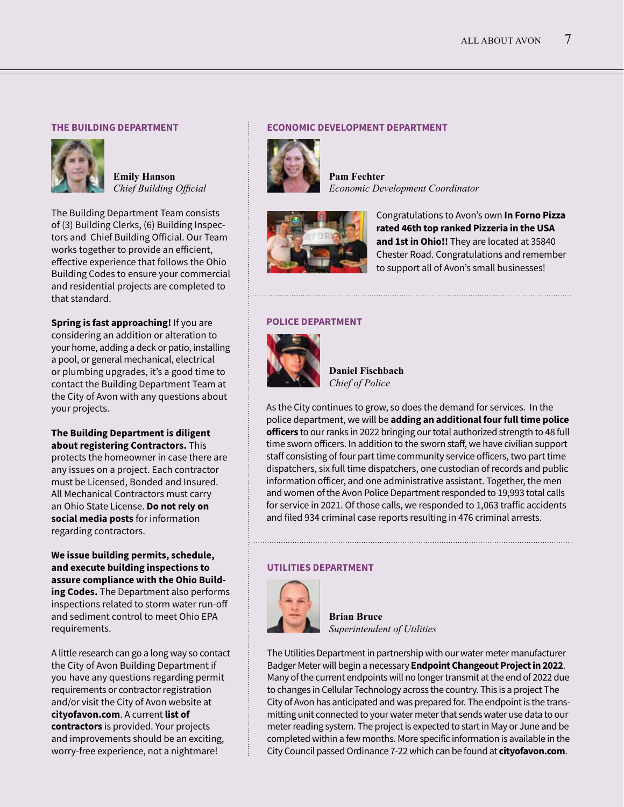#### **THE BUILDING DEPARTMENT**



**Emily Hanson** *Chief Building Official*

The Building Department Team consists of (3) Building Clerks, (6) Building Inspectors and Chief Building Official. Our Team works together to provide an efficient, effective experience that follows the Ohio Building Codes to ensure your commercial and residential projects are completed to that standard.

**Spring is fast approaching!** If you are considering an addition or alteration to your home, adding a deck or patio, installing a pool, or general mechanical, electrical or plumbing upgrades, it's a good time to contact the Building Department Team at the City of Avon with any questions about your projects.

**The Building Department is diligent about registering Contractors.** This protects the homeowner in case there are any issues on a project. Each contractor must be Licensed, Bonded and Insured. All Mechanical Contractors must carry an Ohio State License. **Do not rely on social media posts** for information regarding contractors.

**We issue building permits, schedule, and execute building inspections to assure compliance with the Ohio Building Codes.** The Department also performs inspections related to storm water run-off and sediment control to meet Ohio EPA requirements.

A little research can go a long way so contact the City of Avon Building Department if you have any questions regarding permit requirements or contractor registration and/or visit the City of Avon website at **cityofavon.com**. A current **list of contractors** is provided. Your projects and improvements should be an exciting, worry-free experience, not a nightmare!

#### **ECONOMIC DEVELOPMENT DEPARTMENT**



**Pam Fechter** *Economic Development Coordinator*



Congratulations to Avon's own **In Forno Pizza rated 46th top ranked Pizzeria in the USA and 1st in Ohio!!** They are located at 35840 Chester Road. Congratulations and remember to support all of Avon's small businesses!

#### **POLICE DEPARTMENT**



**Daniel Fischbach** *Chief of Police*

As the City continues to grow, so does the demand for services. In the police department, we will be **adding an additional four full time police officers** to our ranks in 2022 bringing our total authorized strength to 48 full time sworn officers. In addition to the sworn staff, we have civilian support staff consisting of four part time community service officers, two part time dispatchers, six full time dispatchers, one custodian of records and public information officer, and one administrative assistant. Together, the men and women of the Avon Police Department responded to 19,993 total calls for service in 2021. Of those calls, we responded to 1,063 traffic accidents and filed 934 criminal case reports resulting in 476 criminal arrests.

#### **UTILITIES DEPARTMENT**



**Brian Bruce** *Superintendent of Utilities*

The Utilities Department in partnership with our water meter manufacturer Badger Meter will begin a necessary **Endpoint Changeout Project in 2022**. Many of the current endpoints will no longer transmit at the end of 2022 due to changes in Cellular Technology across the country. This is a project The City of Avon has anticipated and was prepared for. The endpoint is the transmitting unit connected to your water meter that sends water use data to our meter reading system. The project is expected to start in May or June and be completed within a few months. More specific information is available in the City Council passed Ordinance 7-22 which can be found at **cityofavon.com**.